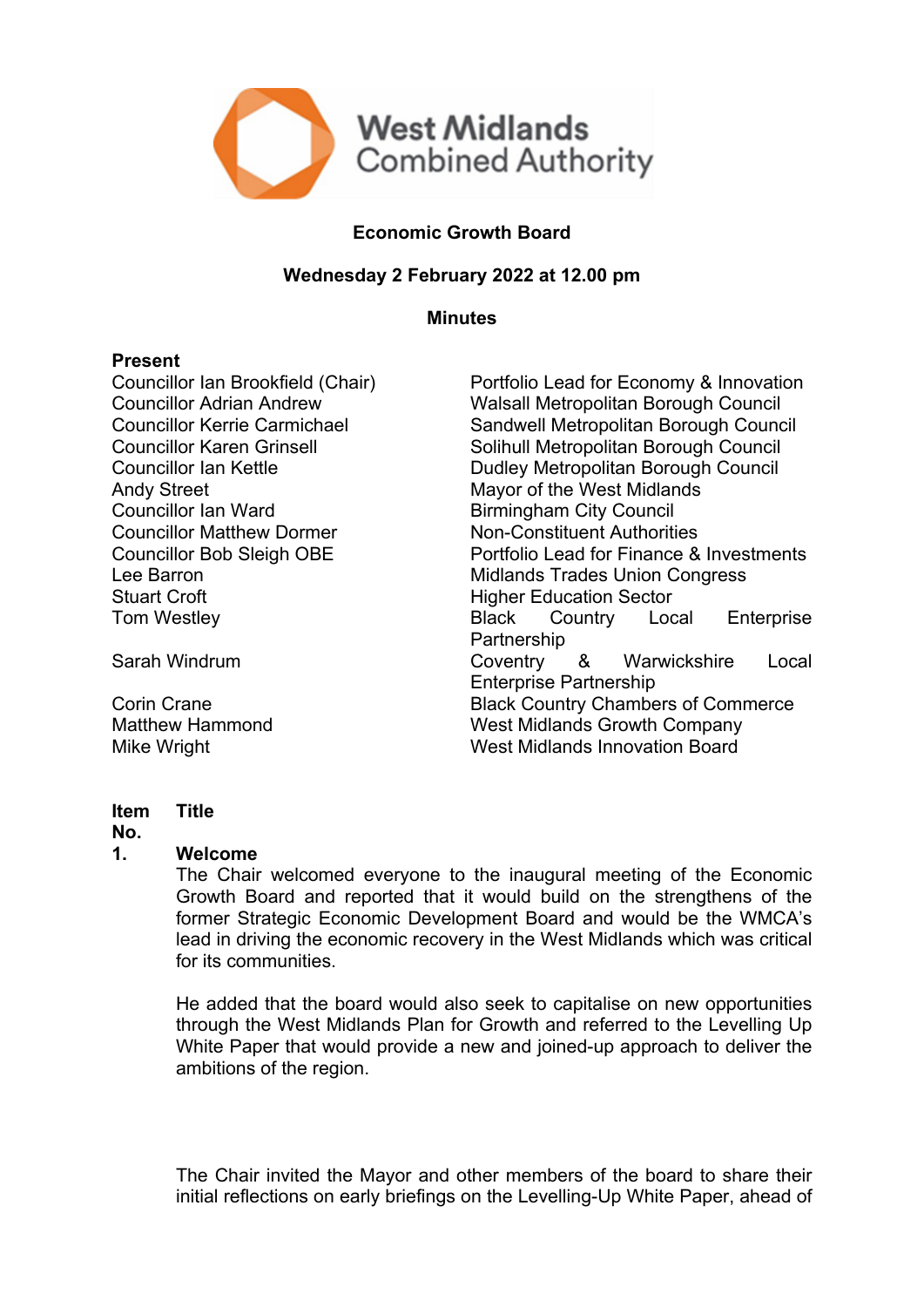

# **Economic Growth Board**

# **Wednesday 2 February 2022 at 12.00 pm**

#### **Minutes**

#### **Present**

Andy Street Mayor of the West Midlands Councillor Ian Ward Birmingham City Council Councillor Matthew Dormer Non-Constituent Authorities Stuart Croft **Higher Education Sector** 

Councillor Ian Brookfield (Chair) Portfolio Lead for Economy & Innovation Councillor Adrian Andrew Walsall Metropolitan Borough Council Councillor Kerrie Carmichael Sandwell Metropolitan Borough Council Councillor Karen Grinsell Solihull Metropolitan Borough Council Councillor Ian Kettle Dudley Metropolitan Borough Council Councillor Bob Sleigh OBE Portfolio Lead for Finance & Investments Lee Barron Midlands Trades Union Congress Tom Westley **Black** Country Local Enterprise **Partnership** Sarah Windrum Coventry & Warwickshire Local Enterprise Partnership **Corin Crane Commerce Black Country Chambers of Commerce** Matthew Hammond West Midlands Growth Company Mike Wright West Midlands Innovation Board

#### **Item Title**

#### **No.**

#### **1. Welcome**

The Chair welcomed everyone to the inaugural meeting of the Economic Growth Board and reported that it would build on the strengthens of the former Strategic Economic Development Board and would be the WMCA's lead in driving the economic recovery in the West Midlands which was critical for its communities.

He added that the board would also seek to capitalise on new opportunities through the West Midlands Plan for Growth and referred to the Levelling Up White Paper that would provide a new and joined-up approach to deliver the ambitions of the region.

The Chair invited the Mayor and other members of the board to share their initial reflections on early briefings on the Levelling-Up White Paper, ahead of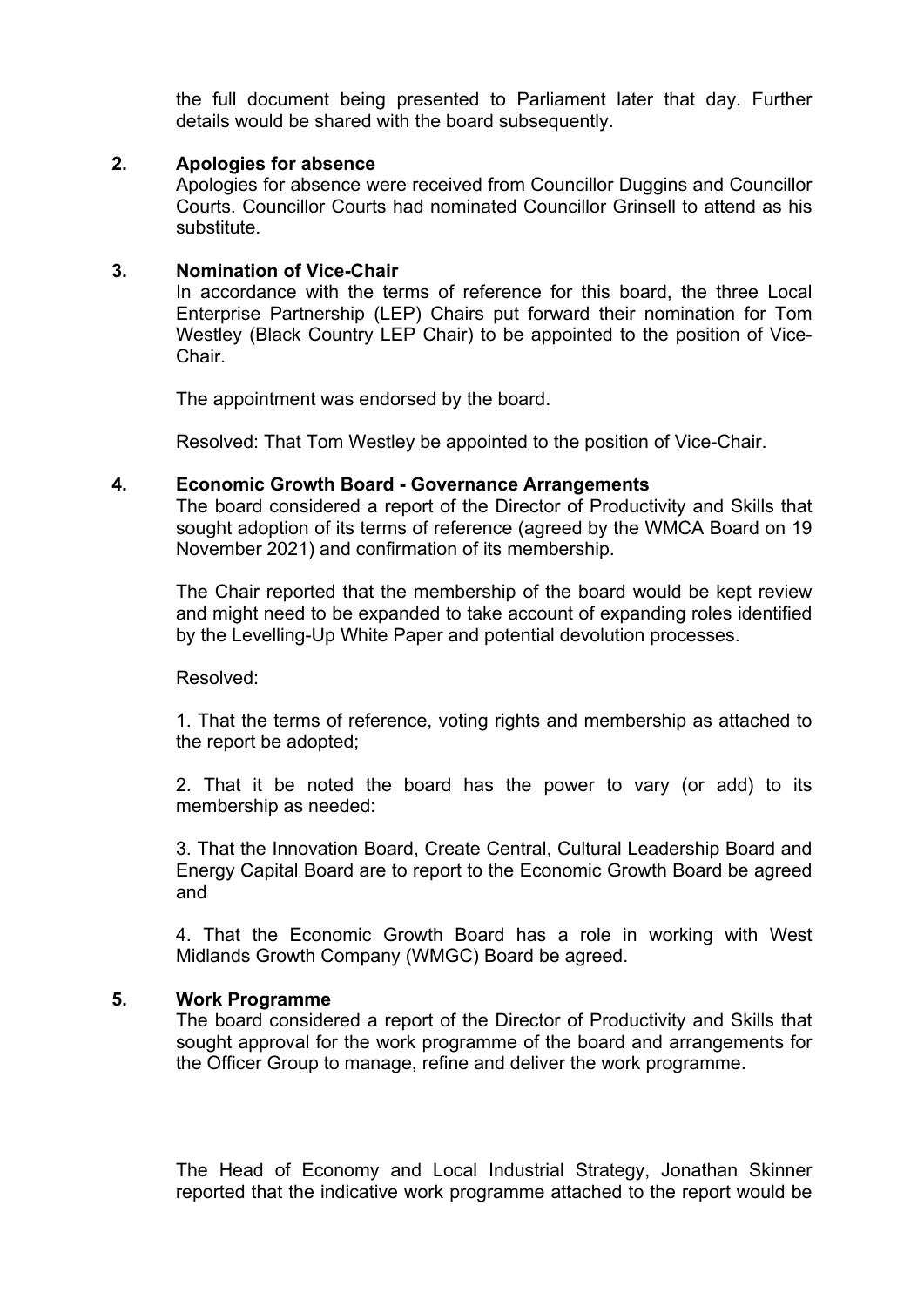the full document being presented to Parliament later that day. Further details would be shared with the board subsequently.

## **2. Apologies for absence**

Apologies for absence were received from Councillor Duggins and Councillor Courts. Councillor Courts had nominated Councillor Grinsell to attend as his substitute.

## **3. Nomination of Vice-Chair**

In accordance with the terms of reference for this board, the three Local Enterprise Partnership (LEP) Chairs put forward their nomination for Tom Westley (Black Country LEP Chair) to be appointed to the position of Vice-Chair.

The appointment was endorsed by the board.

Resolved: That Tom Westley be appointed to the position of Vice-Chair.

## **4. Economic Growth Board - Governance Arrangements**

The board considered a report of the Director of Productivity and Skills that sought adoption of its terms of reference (agreed by the WMCA Board on 19 November 2021) and confirmation of its membership.

The Chair reported that the membership of the board would be kept review and might need to be expanded to take account of expanding roles identified by the Levelling-Up White Paper and potential devolution processes.

Resolved:

1. That the terms of reference, voting rights and membership as attached to the report be adopted;

2. That it be noted the board has the power to vary (or add) to its membership as needed:

3. That the Innovation Board, Create Central, Cultural Leadership Board and Energy Capital Board are to report to the Economic Growth Board be agreed and

4. That the Economic Growth Board has a role in working with West Midlands Growth Company (WMGC) Board be agreed.

#### **5. Work Programme**

The board considered a report of the Director of Productivity and Skills that sought approval for the work programme of the board and arrangements for the Officer Group to manage, refine and deliver the work programme.

The Head of Economy and Local Industrial Strategy, Jonathan Skinner reported that the indicative work programme attached to the report would be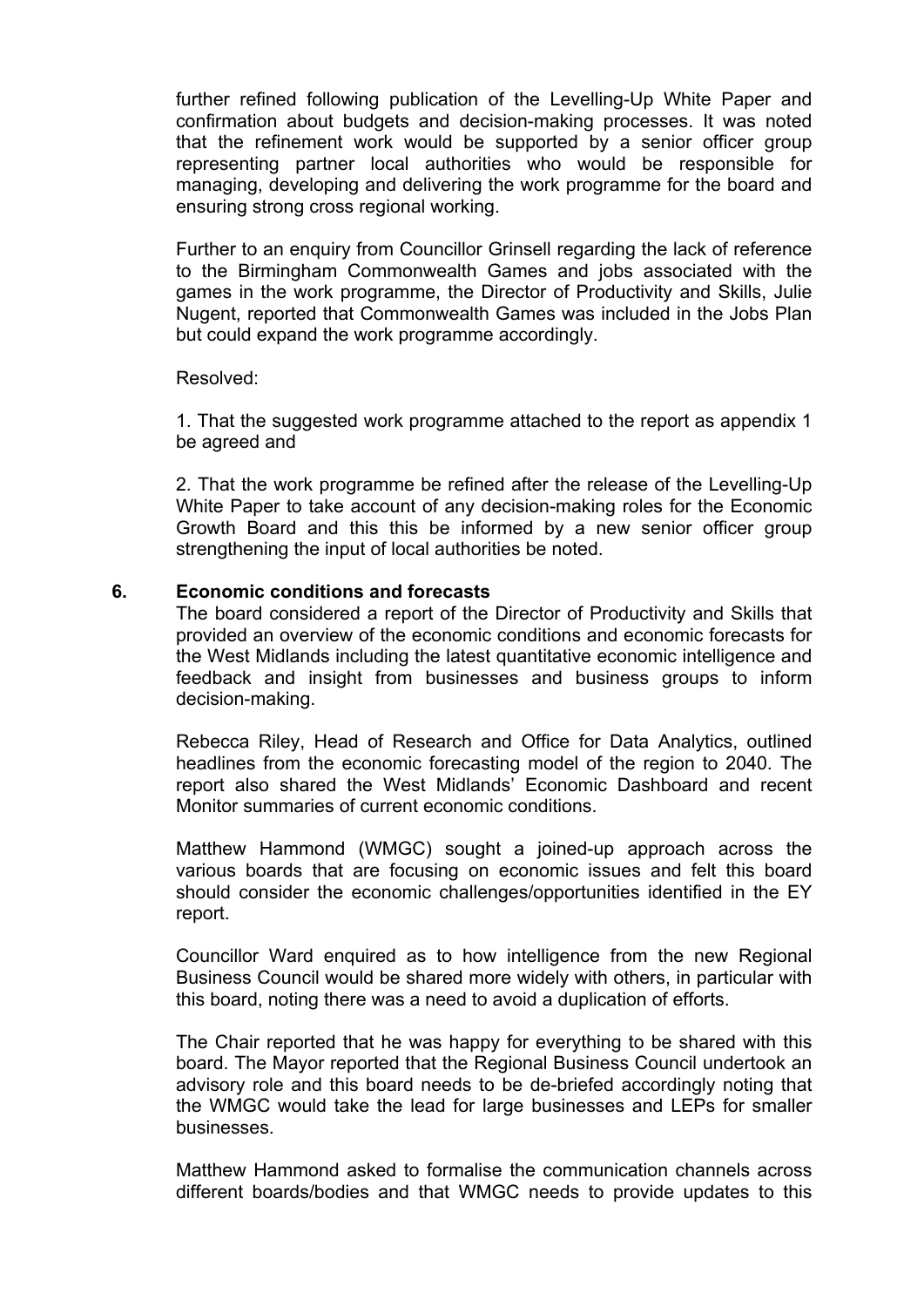further refined following publication of the Levelling-Up White Paper and confirmation about budgets and decision-making processes. It was noted that the refinement work would be supported by a senior officer group representing partner local authorities who would be responsible for managing, developing and delivering the work programme for the board and ensuring strong cross regional working.

Further to an enquiry from Councillor Grinsell regarding the lack of reference to the Birmingham Commonwealth Games and jobs associated with the games in the work programme, the Director of Productivity and Skills, Julie Nugent, reported that Commonwealth Games was included in the Jobs Plan but could expand the work programme accordingly.

## Resolved:

1. That the suggested work programme attached to the report as appendix 1 be agreed and

2. That the work programme be refined after the release of the Levelling-Up White Paper to take account of any decision-making roles for the Economic Growth Board and this this be informed by a new senior officer group strengthening the input of local authorities be noted.

## **6. Economic conditions and forecasts**

The board considered a report of the Director of Productivity and Skills that provided an overview of the economic conditions and economic forecasts for the West Midlands including the latest quantitative economic intelligence and feedback and insight from businesses and business groups to inform decision-making.

Rebecca Riley, Head of Research and Office for Data Analytics, outlined headlines from the economic forecasting model of the region to 2040. The report also shared the West Midlands' Economic Dashboard and recent Monitor summaries of current economic conditions.

Matthew Hammond (WMGC) sought a joined-up approach across the various boards that are focusing on economic issues and felt this board should consider the economic challenges/opportunities identified in the EY report.

Councillor Ward enquired as to how intelligence from the new Regional Business Council would be shared more widely with others, in particular with this board, noting there was a need to avoid a duplication of efforts.

The Chair reported that he was happy for everything to be shared with this board. The Mayor reported that the Regional Business Council undertook an advisory role and this board needs to be de-briefed accordingly noting that the WMGC would take the lead for large businesses and LEPs for smaller businesses.

Matthew Hammond asked to formalise the communication channels across different boards/bodies and that WMGC needs to provide updates to this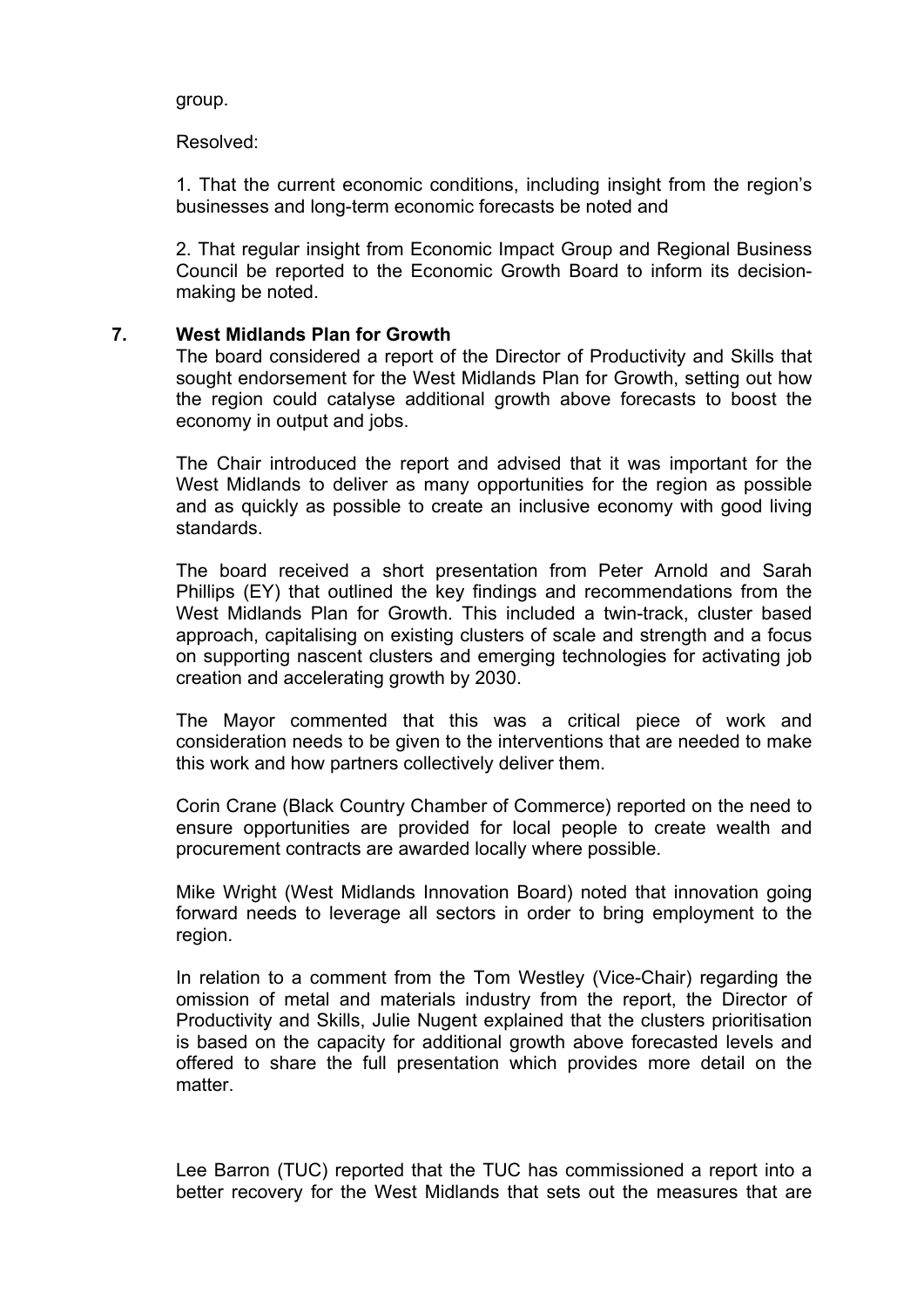group.

Resolved:

1. That the current economic conditions, including insight from the region's businesses and long-term economic forecasts be noted and

2. That regular insight from Economic Impact Group and Regional Business Council be reported to the Economic Growth Board to inform its decisionmaking be noted.

# **7. West Midlands Plan for Growth**

The board considered a report of the Director of Productivity and Skills that sought endorsement for the West Midlands Plan for Growth, setting out how the region could catalyse additional growth above forecasts to boost the economy in output and jobs.

The Chair introduced the report and advised that it was important for the West Midlands to deliver as many opportunities for the region as possible and as quickly as possible to create an inclusive economy with good living standards.

The board received a short presentation from Peter Arnold and Sarah Phillips (EY) that outlined the key findings and recommendations from the West Midlands Plan for Growth. This included a twin-track, cluster based approach, capitalising on existing clusters of scale and strength and a focus on supporting nascent clusters and emerging technologies for activating job creation and accelerating growth by 2030.

The Mayor commented that this was a critical piece of work and consideration needs to be given to the interventions that are needed to make this work and how partners collectively deliver them.

Corin Crane (Black Country Chamber of Commerce) reported on the need to ensure opportunities are provided for local people to create wealth and procurement contracts are awarded locally where possible.

Mike Wright (West Midlands Innovation Board) noted that innovation going forward needs to leverage all sectors in order to bring employment to the region.

In relation to a comment from the Tom Westley (Vice-Chair) regarding the omission of metal and materials industry from the report, the Director of Productivity and Skills, Julie Nugent explained that the clusters prioritisation is based on the capacity for additional growth above forecasted levels and offered to share the full presentation which provides more detail on the matter.

Lee Barron (TUC) reported that the TUC has commissioned a report into a better recovery for the West Midlands that sets out the measures that are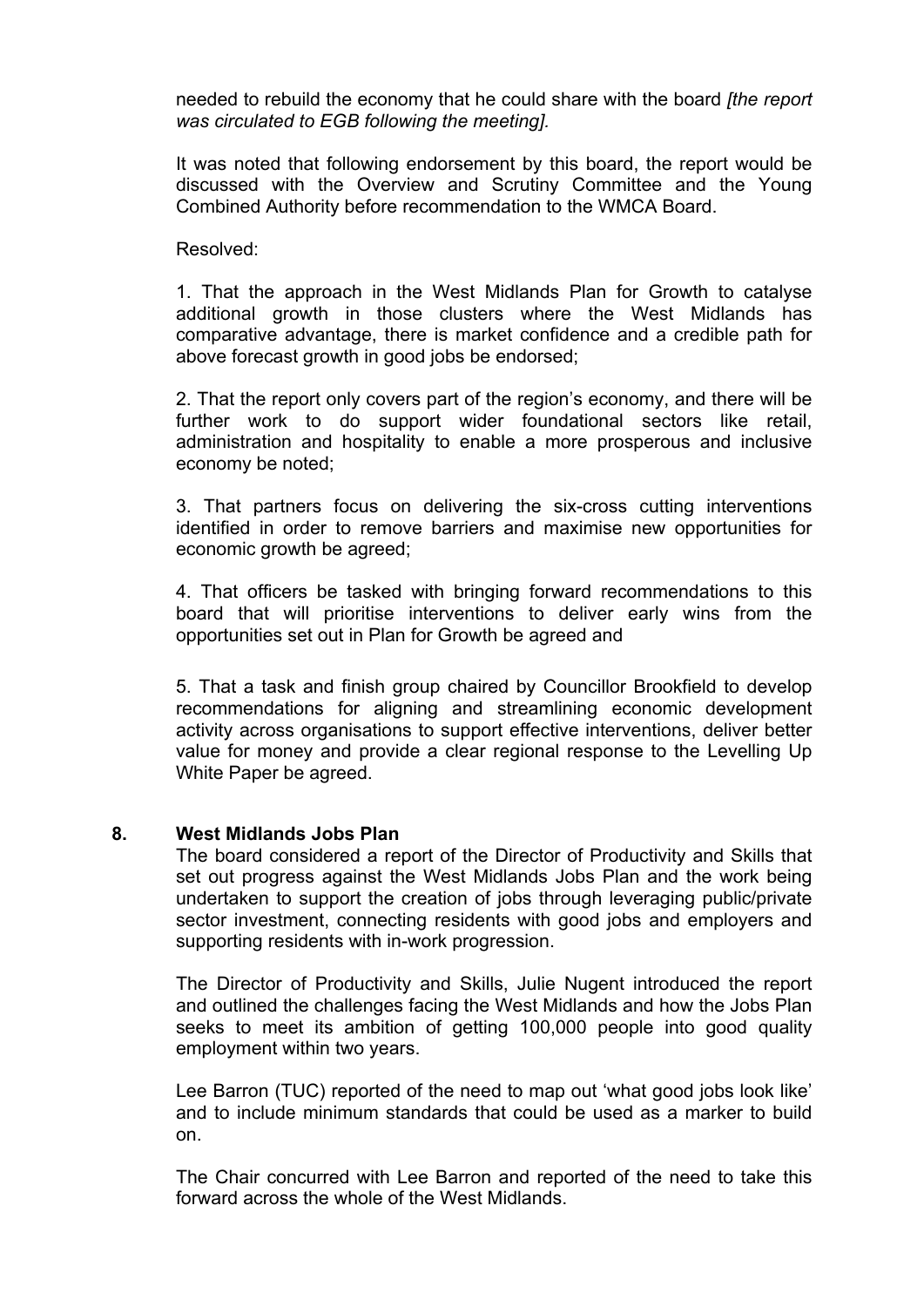needed to rebuild the economy that he could share with the board *[the report was circulated to EGB following the meeting].*

It was noted that following endorsement by this board, the report would be discussed with the Overview and Scrutiny Committee and the Young Combined Authority before recommendation to the WMCA Board.

# Resolved:

1. That the approach in the West Midlands Plan for Growth to catalyse additional growth in those clusters where the West Midlands has comparative advantage, there is market confidence and a credible path for above forecast growth in good jobs be endorsed;

2. That the report only covers part of the region's economy, and there will be further work to do support wider foundational sectors like retail, administration and hospitality to enable a more prosperous and inclusive economy be noted;

3. That partners focus on delivering the six-cross cutting interventions identified in order to remove barriers and maximise new opportunities for economic growth be agreed;

4. That officers be tasked with bringing forward recommendations to this board that will prioritise interventions to deliver early wins from the opportunities set out in Plan for Growth be agreed and

5. That a task and finish group chaired by Councillor Brookfield to develop recommendations for aligning and streamlining economic development activity across organisations to support effective interventions, deliver better value for money and provide a clear regional response to the Levelling Up White Paper be agreed.

# **8. West Midlands Jobs Plan**

The board considered a report of the Director of Productivity and Skills that set out progress against the West Midlands Jobs Plan and the work being undertaken to support the creation of jobs through leveraging public/private sector investment, connecting residents with good jobs and employers and supporting residents with in-work progression.

The Director of Productivity and Skills, Julie Nugent introduced the report and outlined the challenges facing the West Midlands and how the Jobs Plan seeks to meet its ambition of getting 100,000 people into good quality employment within two years.

Lee Barron (TUC) reported of the need to map out 'what good jobs look like' and to include minimum standards that could be used as a marker to build on.

The Chair concurred with Lee Barron and reported of the need to take this forward across the whole of the West Midlands.